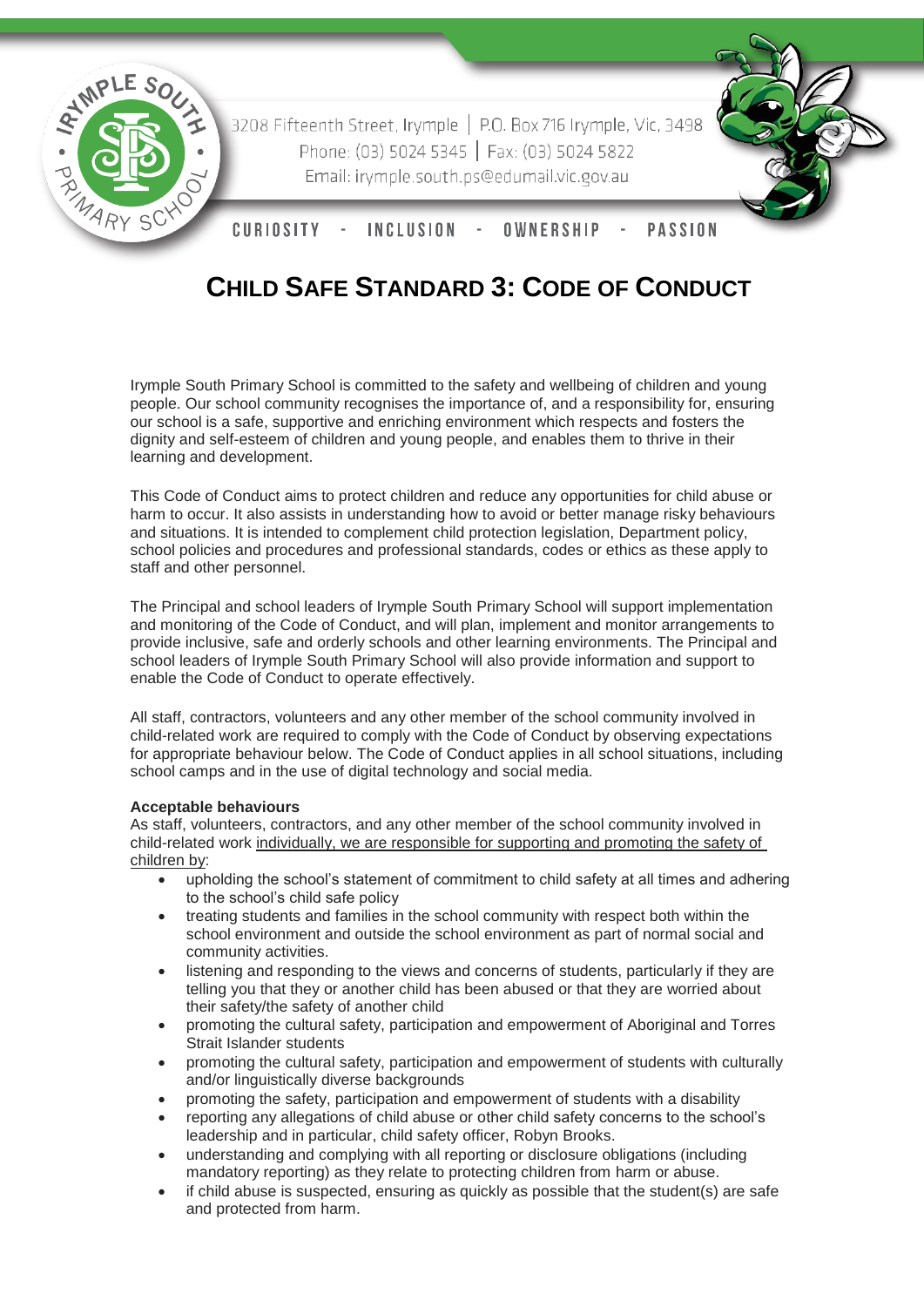

## **CHILD SAFE STANDARD 3: CODE OF CONDUCT**

Irymple South Primary School is committed to the safety and wellbeing of children and young people. Our school community recognises the importance of, and a responsibility for, ensuring our school is a safe, supportive and enriching environment which respects and fosters the dignity and self-esteem of children and young people, and enables them to thrive in their learning and development.

This Code of Conduct aims to protect children and reduce any opportunities for child abuse or harm to occur. It also assists in understanding how to avoid or better manage risky behaviours and situations. It is intended to complement child protection legislation, Department policy, school policies and procedures and professional standards, codes or ethics as these apply to staff and other personnel.

The Principal and school leaders of Irymple South Primary School will support implementation and monitoring of the Code of Conduct, and will plan, implement and monitor arrangements to provide inclusive, safe and orderly schools and other learning environments. The Principal and school leaders of Irymple South Primary School will also provide information and support to enable the Code of Conduct to operate effectively.

All staff, contractors, volunteers and any other member of the school community involved in child-related work are required to comply with the Code of Conduct by observing expectations for appropriate behaviour below. The Code of Conduct applies in all school situations, including school camps and in the use of digital technology and social media.

## **Acceptable behaviours**

As staff, volunteers, contractors, and any other member of the school community involved in child-related work individually, we are responsible for supporting and promoting the safety of children by:

- upholding the school's statement of commitment to child safety at all times and adhering to the school's child safe policy
- treating students and families in the school community with respect both within the school environment and outside the school environment as part of normal social and community activities.
- listening and responding to the views and concerns of students, particularly if they are telling you that they or another child has been abused or that they are worried about their safety/the safety of another child
- promoting the cultural safety, participation and empowerment of Aboriginal and Torres Strait Islander students
- promoting the cultural safety, participation and empowerment of students with culturally and/or linguistically diverse backgrounds
- promoting the safety, participation and empowerment of students with a disability
- reporting any allegations of child abuse or other child safety concerns to the school's leadership and in particular, child safety officer, Robyn Brooks.
- understanding and complying with all reporting or disclosure obligations (including mandatory reporting) as they relate to protecting children from harm or abuse.
- if child abuse is suspected, ensuring as quickly as possible that the student(s) are safe and protected from harm.